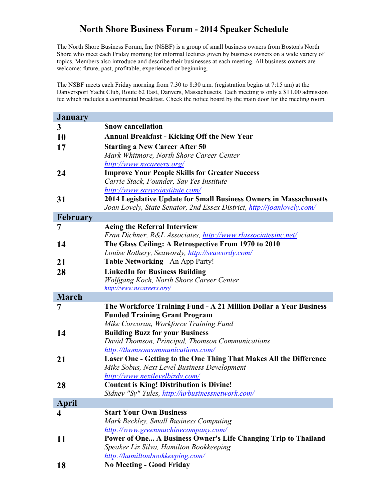## **North Shore Business Forum - 2014 Speaker Schedule**

The North Shore Business Forum, Inc (NSBF) is a group of small business owners from Boston's North Shore who meet each Friday morning for informal lectures given by business owners on a wide variety of topics. Members also introduce and describe their businesses at each meeting. All business owners are welcome: future, past, profitable, experienced or beginning.

The NSBF meets each Friday morning from 7:30 to 8:30 a.m. (registration begins at 7:15 am) at the Danversport Yacht Club, Route 62 East, Danvers, Massachusetts. Each meeting is only a \$11.00 admission fee which includes a continental breakfast. Check the notice board by the main door for the meeting room.

| <b>January</b>   |                                                                               |
|------------------|-------------------------------------------------------------------------------|
| $\mathbf{3}$     | <b>Snow cancellation</b>                                                      |
| <b>10</b>        | <b>Annual Breakfast - Kicking Off the New Year</b>                            |
| 17               | <b>Starting a New Career After 50</b>                                         |
|                  | Mark Whitmore, North Shore Career Center                                      |
|                  | http://www.nscareers.org/                                                     |
| 24               | <b>Improve Your People Skills for Greater Success</b>                         |
|                  | Carrie Stack, Founder, Say Yes Institute                                      |
|                  | http://www.sayyesinstitute.com/                                               |
| 31               | 2014 Legislative Update for Small Business Owners in Massachusetts            |
|                  | Joan Lovely, State Senator, 2nd Essex District, <i>http://joanlovely.com/</i> |
| <b>February</b>  |                                                                               |
| 7                | <b>Acing the Referral Interview</b>                                           |
|                  | Fran Dichner, R&L Associates, http://www.rlassociatesinc.net/                 |
| 14               | The Glass Ceiling: A Retrospective From 1970 to 2010                          |
|                  | Louise Rothery, Seawordy, http://seawordy.com/                                |
| 21               | <b>Table Networking - An App Party!</b>                                       |
| 28               | <b>LinkedIn for Business Building</b>                                         |
|                  | Wolfgang Koch, North Shore Career Center                                      |
|                  | http://www.nscareers.org/                                                     |
| <b>March</b>     |                                                                               |
| 7                | The Workforce Training Fund - A 21 Million Dollar a Year Business             |
|                  | <b>Funded Training Grant Program</b>                                          |
|                  | Mike Corcoran, Workforce Training Fund                                        |
| 14               | <b>Building Buzz for your Business</b>                                        |
|                  | David Thomson, Principal, Thomson Communications                              |
|                  | http://thomsoncommunications.com/                                             |
| 21               | Laser One - Getting to the One Thing That Makes All the Difference            |
|                  | Mike Sobus, Next Level Business Development                                   |
|                  | http://www.nextlevelbizdv.com/                                                |
| 28               | <b>Content is King! Distribution is Divine!</b>                               |
|                  | Sidney "Sy" Yules, http://urbusinessnetwork.com/                              |
| <b>April</b>     | <b>Start Your Own Business</b>                                                |
| $\boldsymbol{4}$ | Mark Beckley, Small Business Computing                                        |
|                  | http://www.greenmachinecompany.com/                                           |
| 11               | Power of One A Business Owner's Life Changing Trip to Thailand                |
|                  | Speaker Liz Silva, Hamilton Bookkeeping                                       |
|                  | http://hamiltonbookkeeping.com/                                               |
| <b>18</b>        | <b>No Meeting - Good Friday</b>                                               |
|                  |                                                                               |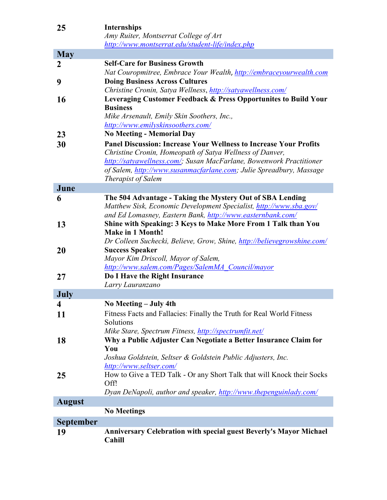| 25               | <b>Internships</b>                                                        |
|------------------|---------------------------------------------------------------------------|
|                  | Amy Ruiter, Montserrat College of Art                                     |
|                  | http://www.montserrat.edu/student-life/index.php                          |
| <b>May</b>       |                                                                           |
| $\overline{2}$   | <b>Self-Care for Business Growth</b>                                      |
|                  | Nat Couropmitree, Embrace Your Wealth, http://embraceyourwealth.com       |
| 9                | <b>Doing Business Across Cultures</b>                                     |
|                  | Christine Cronin, Satya Wellness, http://satyawellness.com/               |
| 16               | Leveraging Customer Feedback & Press Opportunites to Build Your           |
|                  | <b>Business</b>                                                           |
|                  | Mike Arsenault, Emily Skin Soothers, Inc.,                                |
|                  | http://www.emilyskinsoothers.com/                                         |
| 23               | <b>No Meeting - Memorial Day</b>                                          |
| 30               | Panel Discussion: Increase Your Wellness to Increase Your Profits         |
|                  | Christine Cronin, Homeopath of Satya Wellness of Danver,                  |
|                  | http://satyawellness.com/; Susan MacFarlane, Bowenwork Practitioner       |
|                  | of Salem, http://www.susanmacfarlane.com; Julie Spreadbury, Massage       |
|                  | <b>Therapist of Salem</b>                                                 |
| June             |                                                                           |
| 6                | The 504 Advantage - Taking the Mystery Out of SBA Lending                 |
|                  | Matthew Sisk, Economic Development Specialist, http://www.sba.gov/        |
|                  | and Ed Lomasney, Eastern Bank, http://www.easternbank.com/                |
| 13               | Shine with Speaking: 3 Keys to Make More From 1 Talk than You             |
|                  | <b>Make in 1 Month!</b>                                                   |
|                  | Dr Colleen Suchecki, Believe, Grow, Shine, http://believegrowshine.com/   |
| 20               | <b>Success Speaker</b>                                                    |
|                  | Mayor Kim Driscoll, Mayor of Salem,                                       |
|                  | http://www.salem.com/Pages/SalemMA Council/mayor                          |
| 27               | Do I Have the Right Insurance                                             |
| July             | Larry Lauranzano                                                          |
|                  | No Meeting – July 4th                                                     |
| 4                | Fitness Facts and Fallacies: Finally the Truth for Real World Fitness     |
| <b>11</b>        | Solutions                                                                 |
|                  | Mike Stare, Spectrum Fitness, http://spectrumfit.net/                     |
|                  | Why a Public Adjuster Can Negotiate a Better Insurance Claim for          |
| 18               | You                                                                       |
|                  | Joshua Goldstein, Seltser & Goldstein Public Adjusters, Inc.              |
|                  | http://www.seltser.com/                                                   |
| 25               | How to Give a TED Talk - Or any Short Talk that will Knock their Socks    |
|                  | Off!                                                                      |
|                  | Dyan DeNapoli, author and speaker, http://www.thepenguinlady.com/         |
| <b>August</b>    |                                                                           |
|                  | <b>No Meetings</b>                                                        |
| <b>September</b> |                                                                           |
| 19               | <b>Anniversary Celebration with special guest Beverly's Mayor Michael</b> |
|                  | Cahill                                                                    |